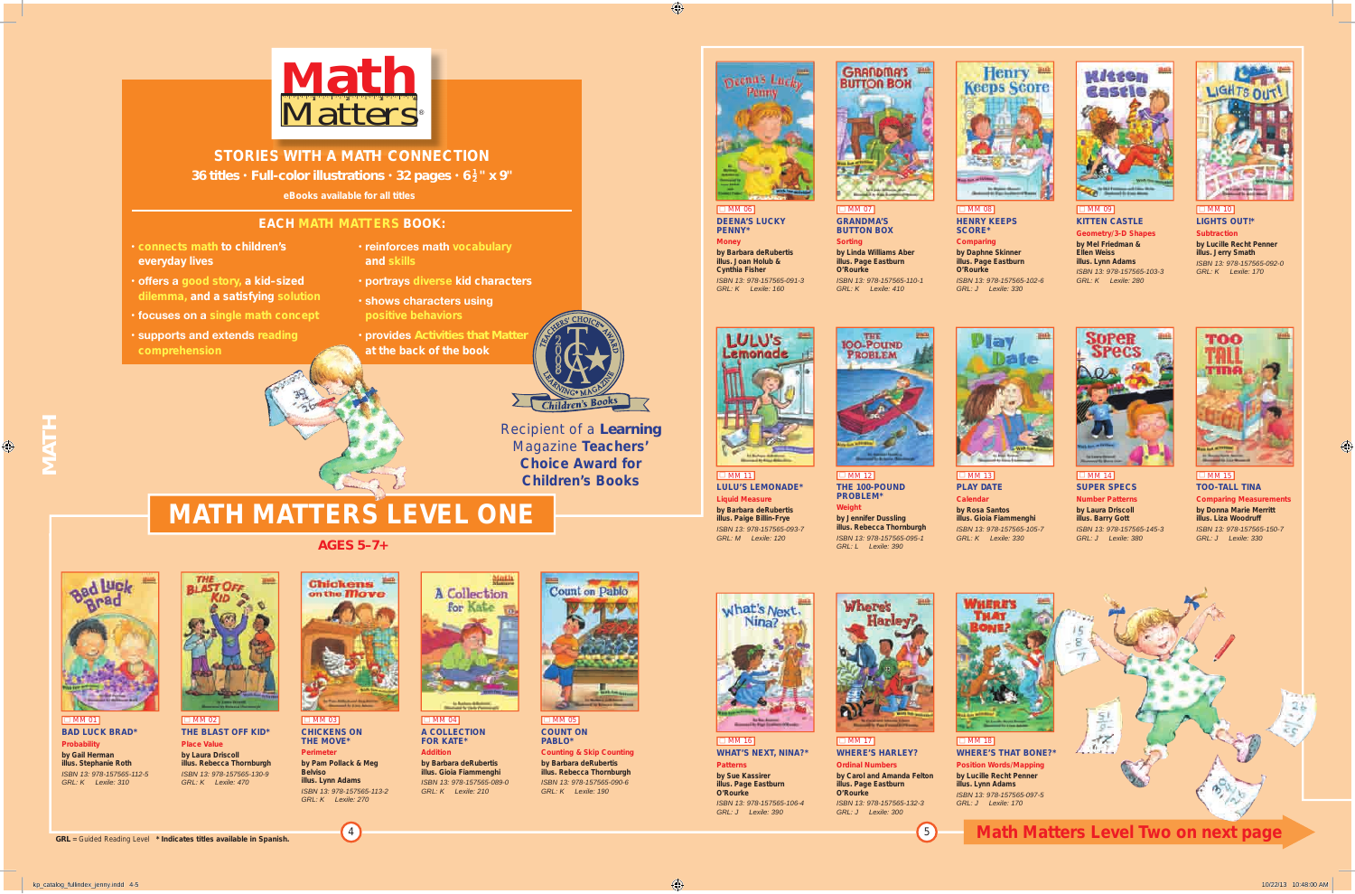$\Box$  MM 01 **BAD LUCk BRAD\* Probability by Gail Herman illus. Stephanie Roth** *ISBN 13: 978-157565-112-5 GRL: K Lexile: 310*



 $\Box$  MM 02 **THe BLAST OFF kID\* Place Value by Laura Driscoll illus. Rebecca Thornburgh** *ISBN 13: 978-157565-130-9*

 $\Box$  MM 03 **CHICkenS On THE MOVE\* Perimeter**

**C** MM 04 **A COLLeCTIOn FOR kATe\***

*GRL: K Lexile: 470*

**C** MM 05 **COUnT On PABLO\***

**by Pam Pollack & Meg Belviso illus. Lynn Adams** *ISBN 13: 978-157565-113-2 GRL: K Lexile: 270*



 $\Box$  MM 12 **THe 100-POUnD PROBLeM\* by Jennifer Dussling illus. Rebecca Thornburgh** *ISBN 13: 978-157565-095-1*

*GRL: L Lexile: 390* Wheres **Harley** 



**Addition by Barbara deRubertis illus. Gioia Fiammenghi** *ISBN 13: 978-157565-089-0 GRL: K Lexile: 210*



#### $\Box$  MM 13 **PLAY DATe Calendar by Rosa Santos illus. Gioia Fiammenghi** *ISBN 13: 978-157565-105-7 GRL: K Lexile: 330*

**Counting & Skip Counting by Barbara deRubertis illus. Rebecca Thornburgh** *ISBN 13: 978-157565-090-6 GRL: K Lexile: 190*





 $\overline{\Box}$  MM 11

 $\Box$  MM 06

mas Lu

 $\Box$  MM 16 **WHAT'S nexT, nInA?\* Patterns by Sue kassirer illus. Page Eastburn O'Rourke** *ISBN 13: 978-157565-106-4 GRL: J Lexile: 390*



**LULU'S LeMOnADe\* Liquid Measure by Barbara deRubertis illus. Paige Billin-Frye** *ISBN 13: 978-157565-093-7 GRL: M Lexile: 120* **Weight**

#### **C** MM 08 **HenRY keePS SCORe\***



### $\Box$  MM 09 **kITTen CASTLe**

**SUPeR SPeCS number Patterns by Laura Driscoll illus. Barry Gott** *ISBN 13: 978-157565-145-3 GRL: J Lexile: 380*



### **TOO-TALL TInA Comparing Measurements by Donna Marie Merritt illus. Liza Woodruff** *ISBN 13: 978-157565-150-7 GRL: J Lexile: 330*

**WHeRe'S HARLeY? Ordinal Numbers by Carol and Amanda Felton illus. Page Eastburn O'Rourke** *ISBN 13: 978-157565-132-3 GRL: J Lexile: 300*

 $\Box$  MM 17



**PennY\* Money**

what's Next.

**Cynthia Fisher**

**DeenA'S LUCkY by Barbara deRubertis illus. Joan Holub &**  *ISBN 13: 978-157565-091-3 GRL: K Lexile: 160* **Sorting**







**Comparing by Daphne Skinner illus. Page eastburn O'Rourke**

*ISBN 13: 978-157565-102-6 GRL: J Lexile: 330*



**Geometry/3-D Shapes by Mel Friedman & Ellen Weiss illus. Lynn Adams** *ISBN 13: 978-157565-103-3 GRL: K Lexile: 280*



**LIGHTS OUT!\* Subtraction by Lucille Recht Penner illus. Jerry Smath**  *ISBN 13: 978-157565-092-0 GRL: K Lexile: 170*



*GRL* = Guided Reading Level **\* Indicates titles available in Spanish.**

<sup>4</sup> <sup>5</sup> **Math Matters Level Two on next page**

# **MATH MATTeRS LeVeL One**

*AGeS 5–7+*

Chickens <sup>10</sup>

on the **Move** 



- **connects math to children's everyday lives**
- **reinforces math vocabulary and skills**
- **offers a good story, a kid–sized dilemma, and a satisfying solution**
- **focuses on a single math concept**
- **supports and extends reading comprehension**
- 
- **portrays diverse kid characters**
- **shows characters using positive behaviors**
- **provides** Activities that Matte **at the back of the book**

## **eACH MATH MATTeRS BOOk:**

**MATH**

Recipient of a *Learning* Magazine **Teachers' Choice Award for Children's Books**



## **STORIeS WITH A MATH COnneCTIOn S WITH COnneCTIO**

*36 titles* **•** *Full-color illustrations* **•** *32 pages* **•** *6 <sup>1</sup> <sup>2</sup> " x 9"*



**eBooks available for all titles**

kp\_catalog\_fullindex\_jenny.indd 4-5 10/22/13 10:48:00 AM